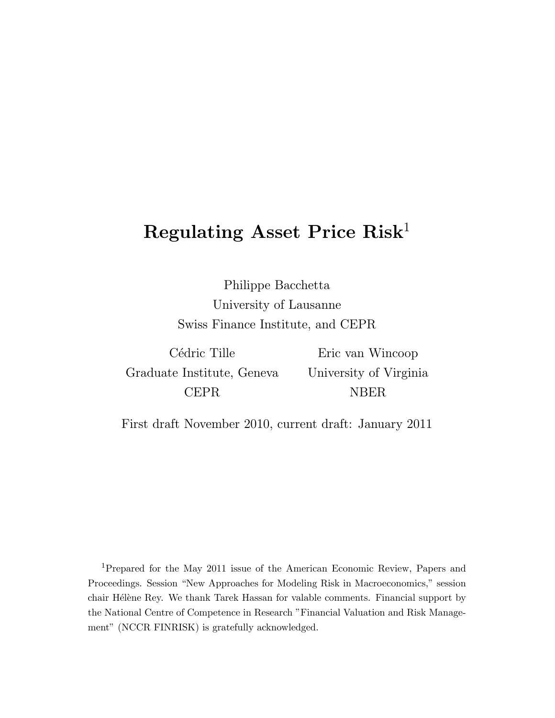# Regulating Asset Price Risk<sup>1</sup>

Philippe Bacchetta University of Lausanne Swiss Finance Institute, and CEPR

Cédric Tille Graduate Institute, Geneva CEPR

Eric van Wincoop University of Virginia NBER

First draft November 2010, current draft: January 2011

<sup>1</sup>Prepared for the May 2011 issue of the American Economic Review, Papers and Proceedings. Session "New Approaches for Modeling Risk in Macroeconomics," session chair Helene Rey. We thank Tarek Hassan for valable comments. Financial support by the National Centre of Competence in Research "Financial Valuation and Risk Management" (NCCR FINRISK) is gratefully acknowledged.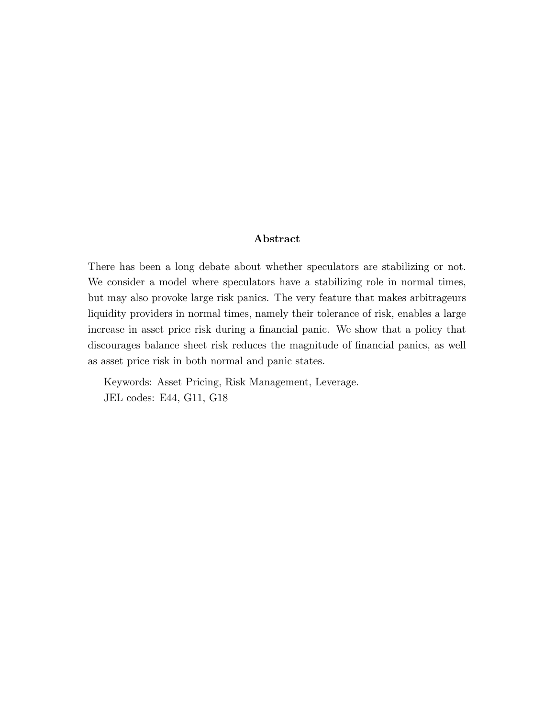#### Abstract

There has been a long debate about whether speculators are stabilizing or not. We consider a model where speculators have a stabilizing role in normal times, but may also provoke large risk panics. The very feature that makes arbitrageurs liquidity providers in normal times, namely their tolerance of risk, enables a large increase in asset price risk during a financial panic. We show that a policy that discourages balance sheet risk reduces the magnitude of financial panics, as well as asset price risk in both normal and panic states.

Keywords: Asset Pricing, Risk Management, Leverage. JEL codes: E44, G11, G18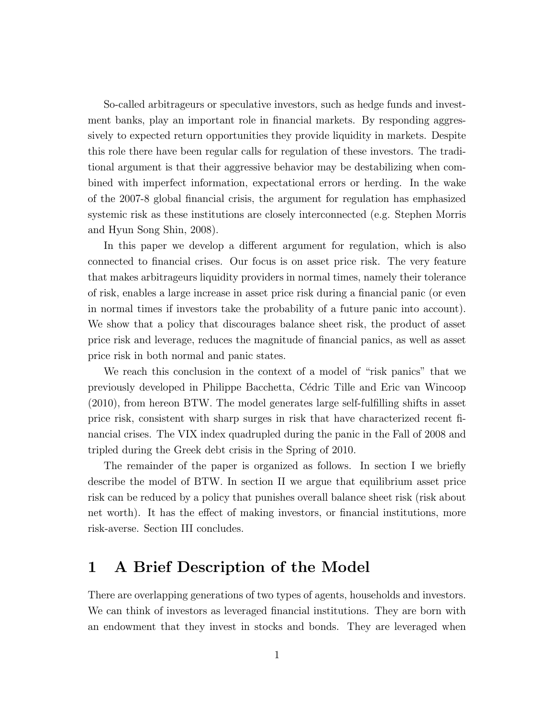So-called arbitrageurs or speculative investors, such as hedge funds and investment banks, play an important role in financial markets. By responding aggressively to expected return opportunities they provide liquidity in markets. Despite this role there have been regular calls for regulation of these investors. The traditional argument is that their aggressive behavior may be destabilizing when combined with imperfect information, expectational errors or herding. In the wake of the 2007-8 global nancial crisis, the argument for regulation has emphasized systemic risk as these institutions are closely interconnected (e.g. Stephen Morris and Hyun Song Shin, 2008).

In this paper we develop a different argument for regulation, which is also connected to financial crises. Our focus is on asset price risk. The very feature that makes arbitrageurs liquidity providers in normal times, namely their tolerance of risk, enables a large increase in asset price risk during a financial panic (or even in normal times if investors take the probability of a future panic into account). We show that a policy that discourages balance sheet risk, the product of asset price risk and leverage, reduces the magnitude of nancial panics, as well as asset price risk in both normal and panic states.

We reach this conclusion in the context of a model of "risk panics" that we previously developed in Philippe Bacchetta, Cedric Tille and Eric van Wincoop  $(2010)$ , from hereon BTW. The model generates large self-fulfilling shifts in asset price risk, consistent with sharp surges in risk that have characterized recent financial crises. The VIX index quadrupled during the panic in the Fall of 2008 and tripled during the Greek debt crisis in the Spring of 2010.

The remainder of the paper is organized as follows. In section I we briefly describe the model of BTW. In section II we argue that equilibrium asset price risk can be reduced by a policy that punishes overall balance sheet risk (risk about net worth). It has the effect of making investors, or financial institutions, more risk-averse. Section III concludes.

#### 1 A Brief Description of the Model

There are overlapping generations of two types of agents, households and investors. We can think of investors as leveraged financial institutions. They are born with an endowment that they invest in stocks and bonds. They are leveraged when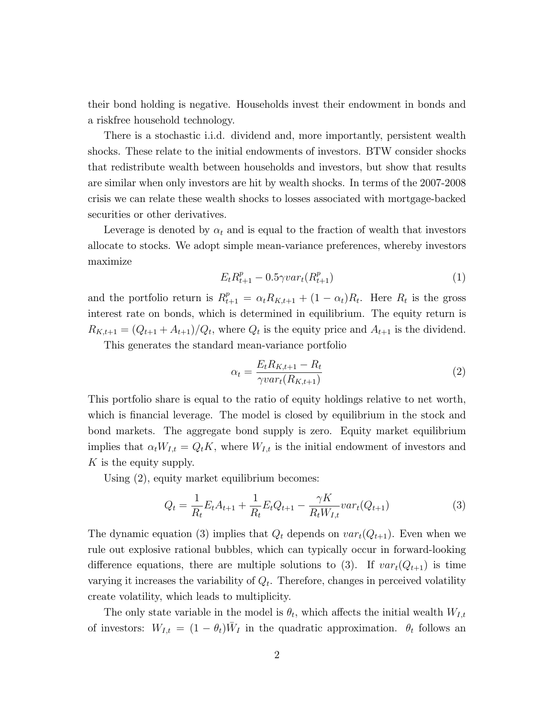their bond holding is negative. Households invest their endowment in bonds and a riskfree household technology.

There is a stochastic i.i.d. dividend and, more importantly, persistent wealth shocks. These relate to the initial endowments of investors. BTW consider shocks that redistribute wealth between households and investors, but show that results are similar when only investors are hit by wealth shocks. In terms of the 2007-2008 crisis we can relate these wealth shocks to losses associated with mortgage-backed securities or other derivatives.

Leverage is denoted by  $\alpha_t$  and is equal to the fraction of wealth that investors allocate to stocks. We adopt simple mean-variance preferences, whereby investors maximize

$$
E_t R_{t+1}^p - 0.5\gamma var_t(R_{t+1}^p)
$$
\n(1)

and the portfolio return is  $R_{t+1}^p = \alpha_t R_{K,t+1} + (1 - \alpha_t)R_t$ . Here  $R_t$  is the gross interest rate on bonds, which is determined in equilibrium. The equity return is  $R_{K,t+1} = (Q_{t+1} + A_{t+1})/Q_t$ , where  $Q_t$  is the equity price and  $A_{t+1}$  is the dividend.

This generates the standard mean-variance portfolio

$$
\alpha_t = \frac{E_t R_{K,t+1} - R_t}{\gamma var_t(R_{K,t+1})} \tag{2}
$$

This portfolio share is equal to the ratio of equity holdings relative to net worth, which is financial leverage. The model is closed by equilibrium in the stock and bond markets. The aggregate bond supply is zero. Equity market equilibrium implies that  $\alpha_t W_{I,t} = Q_t K$ , where  $W_{I,t}$  is the initial endowment of investors and  $K$  is the equity supply.

Using (2), equity market equilibrium becomes:

$$
Q_t = \frac{1}{R_t} E_t A_{t+1} + \frac{1}{R_t} E_t Q_{t+1} - \frac{\gamma K}{R_t W_{I,t}} \text{var}_t (Q_{t+1})
$$
\n(3)

The dynamic equation (3) implies that  $Q_t$  depends on  $var_t(Q_{t+1})$ . Even when we rule out explosive rational bubbles, which can typically occur in forward-looking difference equations, there are multiple solutions to (3). If  $var_t(Q_{t+1})$  is time varying it increases the variability of  $Q_t$ . Therefore, changes in perceived volatility create volatility, which leads to multiplicity.

The only state variable in the model is  $\theta_t$ , which affects the initial wealth  $W_{I,t}$ of investors:  $W_{I,t} = (1 - \theta_t)\overline{W}_I$  in the quadratic approximation.  $\theta_t$  follows an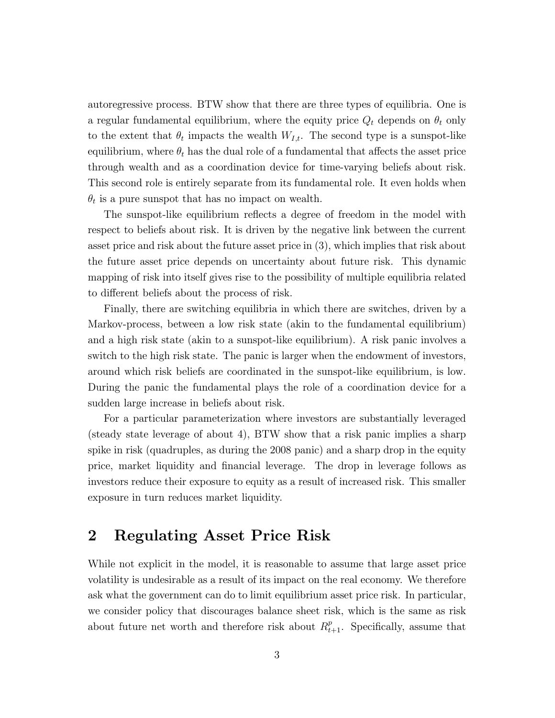autoregressive process. BTW show that there are three types of equilibria. One is a regular fundamental equilibrium, where the equity price  $Q_t$  depends on  $\theta_t$  only to the extent that  $\theta_t$  impacts the wealth  $W_{I,t}$ . The second type is a sunspot-like equilibrium, where  $\theta_t$  has the dual role of a fundamental that affects the asset price through wealth and as a coordination device for time-varying beliefs about risk. This second role is entirely separate from its fundamental role. It even holds when  $\theta_t$  is a pure sunspot that has no impact on wealth.

The sunspot-like equilibrium reflects a degree of freedom in the model with respect to beliefs about risk. It is driven by the negative link between the current asset price and risk about the future asset price in (3), which implies that risk about the future asset price depends on uncertainty about future risk. This dynamic mapping of risk into itself gives rise to the possibility of multiple equilibria related to different beliefs about the process of risk.

Finally, there are switching equilibria in which there are switches, driven by a Markov-process, between a low risk state (akin to the fundamental equilibrium) and a high risk state (akin to a sunspot-like equilibrium). A risk panic involves a switch to the high risk state. The panic is larger when the endowment of investors, around which risk beliefs are coordinated in the sunspot-like equilibrium, is low. During the panic the fundamental plays the role of a coordination device for a sudden large increase in beliefs about risk.

For a particular parameterization where investors are substantially leveraged (steady state leverage of about 4), BTW show that a risk panic implies a sharp spike in risk (quadruples, as during the 2008 panic) and a sharp drop in the equity price, market liquidity and nancial leverage. The drop in leverage follows as investors reduce their exposure to equity as a result of increased risk. This smaller exposure in turn reduces market liquidity.

### 2 Regulating Asset Price Risk

While not explicit in the model, it is reasonable to assume that large asset price volatility is undesirable as a result of its impact on the real economy. We therefore ask what the government can do to limit equilibrium asset price risk. In particular, we consider policy that discourages balance sheet risk, which is the same as risk about future net worth and therefore risk about  $R_{t+1}^p$ . Specifically, assume that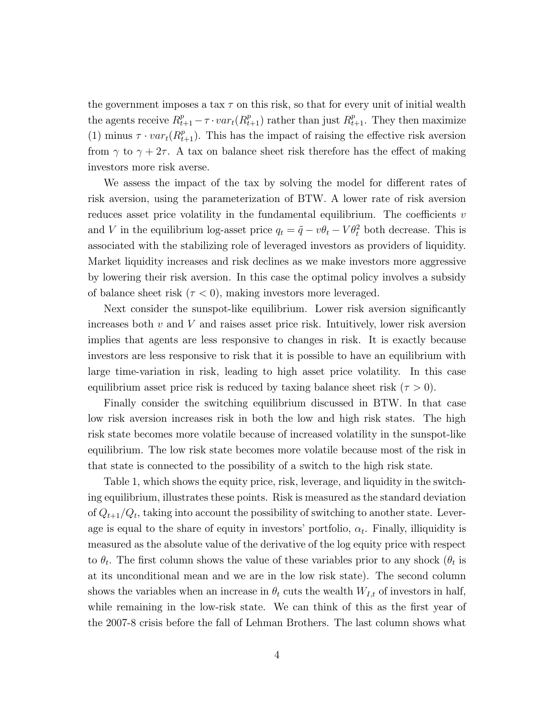the government imposes a tax  $\tau$  on this risk, so that for every unit of initial wealth the agents receive  $R_{t+1}^p - \tau \cdot var_t(R_{t+1}^p)$  rather than just  $R_{t+1}^p$ . They then maximize (1) minus  $\tau \cdot var_t(R^p_{t+1})$ . This has the impact of raising the effective risk aversion from  $\gamma$  to  $\gamma + 2\tau$ . A tax on balance sheet risk therefore has the effect of making investors more risk averse.

We assess the impact of the tax by solving the model for different rates of risk aversion, using the parameterization of BTW. A lower rate of risk aversion reduces asset price volatility in the fundamental equilibrium. The coefficients  $v$ and V in the equilibrium log-asset price  $q_t = \tilde{q} - v\theta_t - V\theta_t^2$  both decrease. This is associated with the stabilizing role of leveraged investors as providers of liquidity. Market liquidity increases and risk declines as we make investors more aggressive by lowering their risk aversion. In this case the optimal policy involves a subsidy of balance sheet risk  $(\tau < 0)$ , making investors more leveraged.

Next consider the sunspot-like equilibrium. Lower risk aversion significantly increases both  $v$  and  $V$  and raises asset price risk. Intuitively, lower risk aversion implies that agents are less responsive to changes in risk. It is exactly because investors are less responsive to risk that it is possible to have an equilibrium with large time-variation in risk, leading to high asset price volatility. In this case equilibrium asset price risk is reduced by taxing balance sheet risk  $(\tau > 0)$ .

Finally consider the switching equilibrium discussed in BTW. In that case low risk aversion increases risk in both the low and high risk states. The high risk state becomes more volatile because of increased volatility in the sunspot-like equilibrium. The low risk state becomes more volatile because most of the risk in that state is connected to the possibility of a switch to the high risk state.

Table 1, which shows the equity price, risk, leverage, and liquidity in the switching equilibrium, illustrates these points. Risk is measured as the standard deviation of  $Q_{t+1}/Q_t$ , taking into account the possibility of switching to another state. Leverage is equal to the share of equity in investors' portfolio,  $\alpha_t$ . Finally, illiquidity is measured as the absolute value of the derivative of the log equity price with respect to  $\theta_t$ . The first column shows the value of these variables prior to any shock  $(\theta_t)$  is at its unconditional mean and we are in the low risk state). The second column shows the variables when an increase in  $\theta_t$  cuts the wealth  $W_{I,t}$  of investors in half, while remaining in the low-risk state. We can think of this as the first year of the 2007-8 crisis before the fall of Lehman Brothers. The last column shows what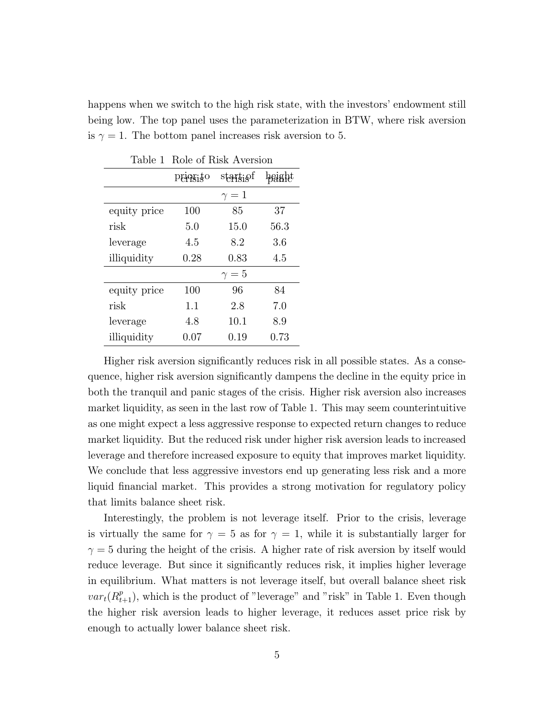happens when we switch to the high risk state, with the investors' endowment still being low. The top panel uses the parameterization in BTW, where risk aversion is  $\gamma = 1$ . The bottom panel increases risk aversion to 5.

|              | pi      | startiof   |      |
|--------------|---------|------------|------|
|              |         | $\gamma=1$ |      |
| equity price | 100     | 85         | 37   |
| risk         | 5.0     | 15.0       | 56.3 |
| leverage     | 4.5     | 8.2        | 3.6  |
| illiquidity  | 0.28    | 0.83       | 4.5  |
|              |         | $\gamma=5$ |      |
| equity price | 100     | 96         | 84   |
| risk         | $1.1\,$ | 2.8        | 7.0  |
| leverage     | 4.8     | 10.1       | 8.9  |
| illiquidity  | 0.07    | 0.19       | 0.73 |

Table 1 Role of Risk Aversion

Higher risk aversion signicantly reduces risk in all possible states. As a consequence, higher risk aversion signicantly dampens the decline in the equity price in both the tranquil and panic stages of the crisis. Higher risk aversion also increases market liquidity, as seen in the last row of Table 1. This may seem counterintuitive as one might expect a less aggressive response to expected return changes to reduce market liquidity. But the reduced risk under higher risk aversion leads to increased leverage and therefore increased exposure to equity that improves market liquidity. We conclude that less aggressive investors end up generating less risk and a more liquid financial market. This provides a strong motivation for regulatory policy that limits balance sheet risk.

Interestingly, the problem is not leverage itself. Prior to the crisis, leverage is virtually the same for  $\gamma = 5$  as for  $\gamma = 1$ , while it is substantially larger for  $\gamma = 5$  during the height of the crisis. A higher rate of risk aversion by itself would reduce leverage. But since it signicantly reduces risk, it implies higher leverage in equilibrium. What matters is not leverage itself, but overall balance sheet risk  $var_t(R_{t+1}^p)$ , which is the product of "leverage" and "risk" in Table 1. Even though the higher risk aversion leads to higher leverage, it reduces asset price risk by enough to actually lower balance sheet risk.